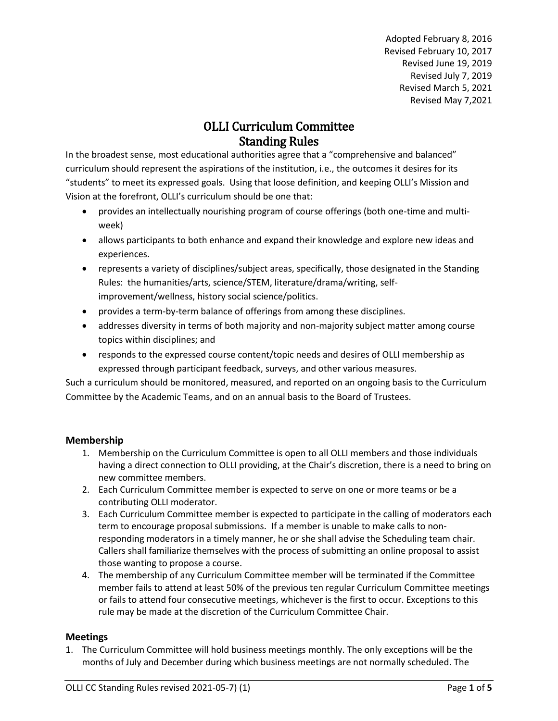Adopted February 8, 2016 Revised February 10, 2017 Revised June 19, 2019 Revised July 7, 2019 Revised March 5, 2021 Revised May 7,2021

# OLLI Curriculum Committee Standing Rules

In the broadest sense, most educational authorities agree that a "comprehensive and balanced" curriculum should represent the aspirations of the institution, i.e., the outcomes it desires for its "students" to meet its expressed goals. Using that loose definition, and keeping OLLI's Mission and Vision at the forefront, OLLI's curriculum should be one that:

- provides an intellectually nourishing program of course offerings (both one-time and multiweek)
- allows participants to both enhance and expand their knowledge and explore new ideas and experiences.
- represents a variety of disciplines/subject areas, specifically, those designated in the Standing Rules: the humanities/arts, science/STEM, literature/drama/writing, selfimprovement/wellness, history social science/politics.
- provides a term-by-term balance of offerings from among these disciplines.
- addresses diversity in terms of both majority and non-majority subject matter among course topics within disciplines; and
- responds to the expressed course content/topic needs and desires of OLLI membership as expressed through participant feedback, surveys, and other various measures.

Such a curriculum should be monitored, measured, and reported on an ongoing basis to the Curriculum Committee by the Academic Teams, and on an annual basis to the Board of Trustees.

#### **Membership**

- 1. Membership on the Curriculum Committee is open to all OLLI members and those individuals having a direct connection to OLLI providing, at the Chair's discretion, there is a need to bring on new committee members.
- 2. Each Curriculum Committee member is expected to serve on one or more teams or be a contributing OLLI moderator.
- 3. Each Curriculum Committee member is expected to participate in the calling of moderators each term to encourage proposal submissions. If a member is unable to make calls to nonresponding moderators in a timely manner, he or she shall advise the Scheduling team chair. Callers shall familiarize themselves with the process of submitting an online proposal to assist those wanting to propose a course.
- 4. The membership of any Curriculum Committee member will be terminated if the Committee member fails to attend at least 50% of the previous ten regular Curriculum Committee meetings or fails to attend four consecutive meetings, whichever is the first to occur. Exceptions to this rule may be made at the discretion of the Curriculum Committee Chair.

#### **Meetings**

1. The Curriculum Committee will hold business meetings monthly. The only exceptions will be the months of July and December during which business meetings are not normally scheduled. The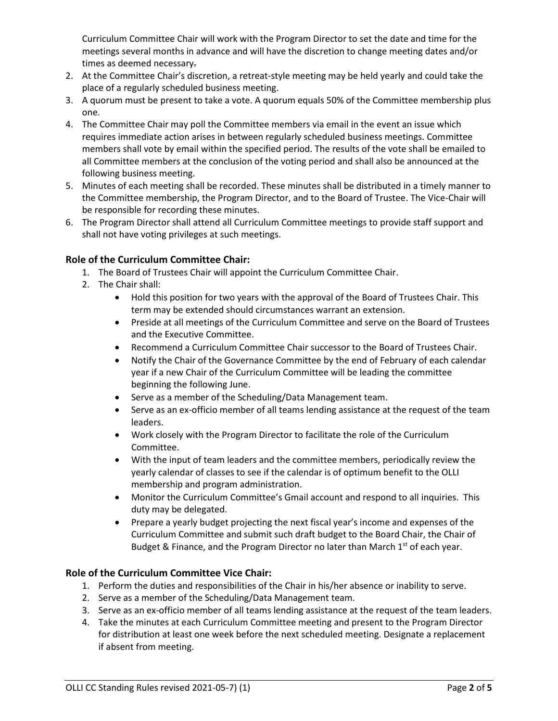Curriculum Committee Chair will work with the Program Director to set the date and time for the meetings several months in advance and will have the discretion to change meeting dates and/or times as deemed necessary.

- 2. At the Committee Chair's discretion, a retreat-style meeting may be held yearly and could take the place of a regularly scheduled business meeting.
- 3. A quorum must be present to take a vote. A quorum equals 50% of the Committee membership plus one.
- 4. The Committee Chair may poll the Committee members via email in the event an issue which requires immediate action arises in between regularly scheduled business meetings. Committee members shall vote by email within the specified period. The results of the vote shall be emailed to all Committee members at the conclusion of the voting period and shall also be announced at the following business meeting.
- 5. Minutes of each meeting shall be recorded. These minutes shall be distributed in a timely manner to the Committee membership, the Program Director, and to the Board of Trustee. The Vice-Chair will be responsible for recording these minutes.
- 6. The Program Director shall attend all Curriculum Committee meetings to provide staff support and shall not have voting privileges at such meetings.

## **Role of the Curriculum Committee Chair:**

- 1. The Board of Trustees Chair will appoint the Curriculum Committee Chair.
- 2. The Chair shall:
	- Hold this position for two years with the approval of the Board of Trustees Chair. This term may be extended should circumstances warrant an extension.
	- Preside at all meetings of the Curriculum Committee and serve on the Board of Trustees and the Executive Committee.
	- Recommend a Curriculum Committee Chair successor to the Board of Trustees Chair.
	- Notify the Chair of the Governance Committee by the end of February of each calendar year if a new Chair of the Curriculum Committee will be leading the committee beginning the following June.
	- Serve as a member of the Scheduling/Data Management team.
	- Serve as an ex-officio member of all teams lending assistance at the request of the team leaders.
	- Work closely with the Program Director to facilitate the role of the Curriculum Committee.
	- With the input of team leaders and the committee members, periodically review the yearly calendar of classes to see if the calendar is of optimum benefit to the OLLI membership and program administration.
	- Monitor the Curriculum Committee's Gmail account and respond to all inquiries. This duty may be delegated.
	- Prepare a yearly budget projecting the next fiscal year's income and expenses of the Curriculum Committee and submit such draft budget to the Board Chair, the Chair of Budget & Finance, and the Program Director no later than March  $1<sup>st</sup>$  of each year.

#### **Role of the Curriculum Committee Vice Chair:**

- 1. Perform the duties and responsibilities of the Chair in his/her absence or inability to serve.
- 2. Serve as a member of the Scheduling/Data Management team.
- 3. Serve as an ex-officio member of all teams lending assistance at the request of the team leaders.
- 4. Take the minutes at each Curriculum Committee meeting and present to the Program Director for distribution at least one week before the next scheduled meeting. Designate a replacement if absent from meeting.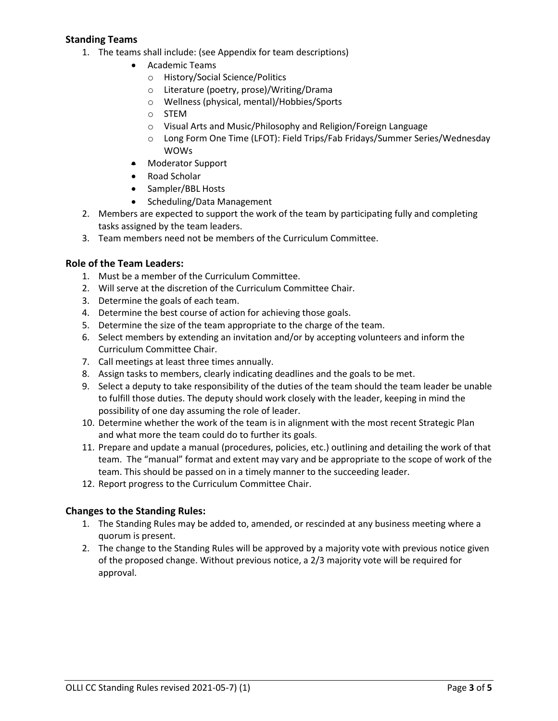## **Standing Teams**

- 1. The teams shall include: (see Appendix for team descriptions)
	- Academic Teams
		- o History/Social Science/Politics
		- o Literature (poetry, prose)/Writing/Drama
		- o Wellness (physical, mental)/Hobbies/Sports
		- o STEM
		- o Visual Arts and Music/Philosophy and Religion/Foreign Language
		- o Long Form One Time (LFOT): Field Trips/Fab Fridays/Summer Series/Wednesday WOWs
	- Moderator Support
	- Road Scholar
	- Sampler/BBL Hosts
	- Scheduling/Data Management
- 2. Members are expected to support the work of the team by participating fully and completing tasks assigned by the team leaders.
- 3. Team members need not be members of the Curriculum Committee.

#### **Role of the Team Leaders:**

- 1. Must be a member of the Curriculum Committee.
- 2. Will serve at the discretion of the Curriculum Committee Chair.
- 3. Determine the goals of each team.
- 4. Determine the best course of action for achieving those goals.
- 5. Determine the size of the team appropriate to the charge of the team.
- 6. Select members by extending an invitation and/or by accepting volunteers and inform the Curriculum Committee Chair.
- 7. Call meetings at least three times annually.
- 8. Assign tasks to members, clearly indicating deadlines and the goals to be met.
- 9. Select a deputy to take responsibility of the duties of the team should the team leader be unable to fulfill those duties. The deputy should work closely with the leader, keeping in mind the possibility of one day assuming the role of leader.
- 10. Determine whether the work of the team is in alignment with the most recent Strategic Plan and what more the team could do to further its goals.
- 11. Prepare and update a manual (procedures, policies, etc.) outlining and detailing the work of that team. The "manual" format and extent may vary and be appropriate to the scope of work of the team. This should be passed on in a timely manner to the succeeding leader.
- 12. Report progress to the Curriculum Committee Chair.

#### **Changes to the Standing Rules:**

- 1. The Standing Rules may be added to, amended, or rescinded at any business meeting where a quorum is present.
- 2. The change to the Standing Rules will be approved by a majority vote with previous notice given of the proposed change. Without previous notice, a 2/3 majority vote will be required for approval.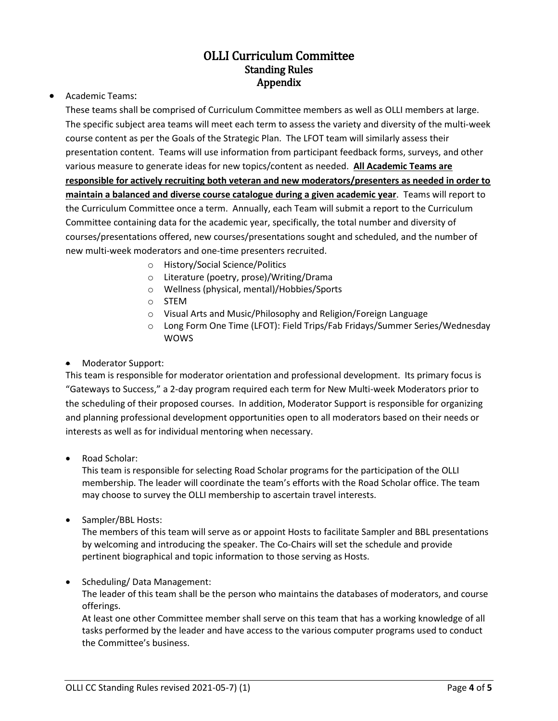# OLLI Curriculum Committee Standing Rules Appendix

• Academic Teams:

These teams shall be comprised of Curriculum Committee members as well as OLLI members at large. The specific subject area teams will meet each term to assess the variety and diversity of the multi-week course content as per the Goals of the Strategic Plan. The LFOT team will similarly assess their presentation content. Teams will use information from participant feedback forms, surveys, and other various measure to generate ideas for new topics/content as needed. **All Academic Teams are responsible for actively recruiting both veteran and new moderators/presenters as needed in order to maintain a balanced and diverse course catalogue during a given academic year**. Teams will report to the Curriculum Committee once a term. Annually, each Team will submit a report to the Curriculum Committee containing data for the academic year, specifically, the total number and diversity of courses/presentations offered, new courses/presentations sought and scheduled, and the number of new multi-week moderators and one-time presenters recruited.

- o History/Social Science/Politics
- o Literature (poetry, prose)/Writing/Drama
- o Wellness (physical, mental)/Hobbies/Sports
- o STEM
- o Visual Arts and Music/Philosophy and Religion/Foreign Language
- o Long Form One Time (LFOT): Field Trips/Fab Fridays/Summer Series/Wednesday WOWS
- Moderator Support:

This team is responsible for moderator orientation and professional development. Its primary focus is "Gateways to Success," a 2-day program required each term for New Multi-week Moderators prior to the scheduling of their proposed courses. In addition, Moderator Support is responsible for organizing and planning professional development opportunities open to all moderators based on their needs or interests as well as for individual mentoring when necessary.

• Road Scholar:

This team is responsible for selecting Road Scholar programs for the participation of the OLLI membership. The leader will coordinate the team's efforts with the Road Scholar office. The team may choose to survey the OLLI membership to ascertain travel interests.

• Sampler/BBL Hosts:

The members of this team will serve as or appoint Hosts to facilitate Sampler and BBL presentations by welcoming and introducing the speaker. The Co-Chairs will set the schedule and provide pertinent biographical and topic information to those serving as Hosts.

• Scheduling/ Data Management:

The leader of this team shall be the person who maintains the databases of moderators, and course offerings.

At least one other Committee member shall serve on this team that has a working knowledge of all tasks performed by the leader and have access to the various computer programs used to conduct the Committee's business.